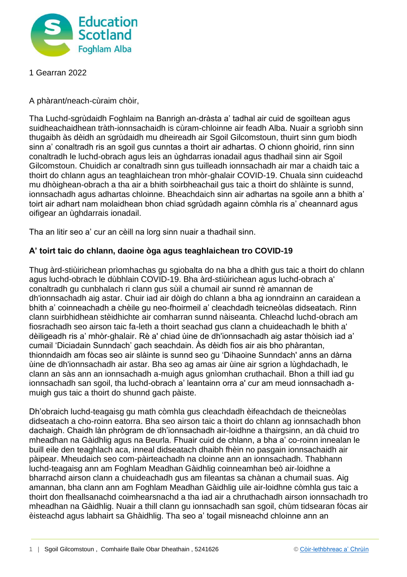

1 Gearran 2022

A phàrant/neach-cùraim chòir,

Tha Luchd-sgrùdaidh Foghlaim na Banrigh an-dràsta a' tadhal air cuid de sgoiltean agus suidheachaidhean tràth-ionnsachaidh is cùram-chloinne air feadh Alba. Nuair a sgrìobh sinn thugaibh às dèidh an sgrùdaidh mu dheireadh air Sgoil Gilcomstoun, thuirt sinn gum biodh sinn a' conaltradh ris an sgoil gus cunntas a thoirt air adhartas. O chionn ghoirid, rinn sinn conaltradh le luchd-obrach agus leis an ùghdarras ionadail agus thadhail sinn air Sgoil Gilcomstoun. Chuidich ar conaltradh sinn gus tuilleadh ionnsachadh air mar a chaidh taic a thoirt do chlann agus an teaghlaichean tron mhòr-ghalair COVID-19. Chuala sinn cuideachd mu dhòighean-obrach a tha air a bhith soirbheachail gus taic a thoirt do shlàinte is sunnd, ionnsachadh agus adhartas chloinne. Bheachdaich sinn air adhartas na sgoile ann a bhith a' toirt air adhart nam molaidhean bhon chiad sgrùdadh againn còmhla ris a' cheannard agus oifigear an ùghdarrais ionadail.

Tha an litir seo a' cur an cèill na lorg sinn nuair a thadhail sinn.

## **A' toirt taic do chlann, daoine òga agus teaghlaichean tro COVID-19**

Thug àrd-stiùirichean prìomhachas gu sgiobalta do na bha a dhìth gus taic a thoirt do chlann agus luchd-obrach le dùbhlain COVID-19. Bha àrd-stiùirichean agus luchd-obrach a' conaltradh gu cunbhalach ri clann gus sùil a chumail air sunnd rè amannan de dh'ionnsachadh aig astar. Chuir iad air dòigh do chlann a bha ag ionndrainn an caraidean a bhith a' coinneachadh a chèile gu neo-fhoirmeil a' cleachdadh teicneòlas didseatach. Rinn clann suirbhidhean stèidhichte air comharran sunnd nàiseanta. Chleachd luchd-obrach am fiosrachadh seo airson taic fa-leth a thoirt seachad gus clann a chuideachadh le bhith a' dèiligeadh ris a' mhòr-ghalair. Rè a' chiad ùine de dh'ionnsachadh aig astar thòisich iad a' cumail 'Diciadain Sunndach' gach seachdain. Às dèidh fios air ais bho phàrantan, thionndaidh am fòcas seo air slàinte is sunnd seo gu 'Dihaoine Sunndach' anns an dàrna ùine de dh'ionnsachadh air astar. Bha seo ag amas air ùine air sgrion a lùghdachadh, le clann an sàs ann an ionnsachadh a-muigh agus gnìomhan cruthachail. Bhon a thill iad gu ionnsachadh san sgoil, tha luchd-obrach a' leantainn orra a' cur am meud ionnsachadh amuigh gus taic a thoirt do shunnd gach pàiste.

Dh'obraich luchd-teagaisg gu math còmhla gus cleachdadh èifeachdach de theicneòlas didseatach a cho-roinn eatorra. Bha seo airson taic a thoirt do chlann ag ionnsachadh bhon dachaigh. Chaidh làn phrògram de dh'ionnsachadh air-loidhne a thairgsinn, an dà chuid tro mheadhan na Gàidhlig agus na Beurla. Fhuair cuid de chlann, a bha a' co-roinn innealan le buill eile den teaghlach aca, inneal didseatach dhaibh fhèin no pasgain ionnsachaidh air pàipear. Mheudaich seo com-pàirteachadh na cloinne ann an ionnsachadh. Thabhann luchd-teagaisg ann am Foghlam Meadhan Gàidhlig coinneamhan beò air-loidhne a bharrachd airson clann a chuideachadh gus am fileantas sa chànan a chumail suas. Aig amannan, bha clann ann am Foghlam Meadhan Gàidhlig uile air-loidhne còmhla gus taic a thoirt don fheallsanachd coimhearsnachd a tha iad air a chruthachadh airson ionnsachadh tro mheadhan na Gàidhlig. Nuair a thill clann gu ionnsachadh san sgoil, chùm tidsearan fòcas air èisteachd agus labhairt sa Ghàidhlig. Tha seo a' togail misneachd chloinne ann an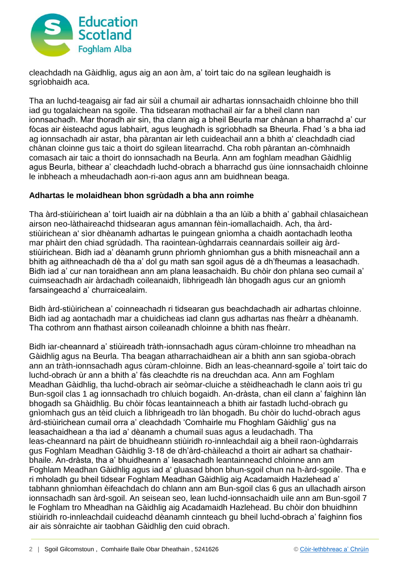

cleachdadh na Gàidhlig, agus aig an aon àm, a' toirt taic do na sgilean leughaidh is sgrìobhaidh aca.

Tha an luchd-teagaisg air fad air sùil a chumail air adhartas ionnsachaidh chloinne bho thill iad gu togalaichean na sgoile. Tha tidsearan mothachail air far a bheil clann nan ionnsachadh. Mar thoradh air sin, tha clann aig a bheil Beurla mar chànan a bharrachd a' cur fòcas air èisteachd agus labhairt, agus leughadh is sgrìobhadh sa Bheurla. Fhad 's a bha iad ag ionnsachadh air astar, bha pàrantan air leth cuideachail ann a bhith a' cleachdadh ciad chànan cloinne gus taic a thoirt do sgilean litearrachd. Cha robh pàrantan an-còmhnaidh comasach air taic a thoirt do ionnsachadh na Beurla. Ann am foghlam meadhan Gàidhlig agus Beurla, bithear a' cleachdadh luchd-obrach a bharrachd gus ùine ionnsachaidh chloinne le inbheach a mheudachadh aon-ri-aon agus ann am buidhnean beaga.

## **Adhartas le molaidhean bhon sgrùdadh a bha ann roimhe**

Tha àrd-stiùirichean a' toirt luaidh air na dùbhlain a tha an lùib a bhith a' gabhail chlasaichean airson neo-làthaireachd thidsearan agus amannan fèin-iomallachaidh. Ach, tha àrdstiùirichean a' sìor dhèanamh adhartas le puingean gnìomha a chaidh aontachadh leotha mar phàirt den chiad sgrùdadh. Tha raointean-ùghdarrais ceannardais soilleir aig àrdstiùirichean. Bidh iad a' dèanamh grunn phrìomh ghnìomhan gus a bhith misneachail ann a bhith ag aithneachadh dè tha a' dol gu math san sgoil agus dè a dh'fheumas a leasachadh. Bidh iad a' cur nan toraidhean ann am plana leasachaidh. Bu chòir don phlana seo cumail a' cuimseachadh air àrdachadh coileanaidh, lìbhrigeadh làn bhogadh agus cur an gnìomh farsaingeachd a' churraicealaim.

Bidh àrd-stiùirichean a' coinneachadh ri tidsearan gus beachdachadh air adhartas chloinne. Bidh iad ag aontachadh mar a chuidicheas iad clann gus adhartas nas fheàrr a dhèanamh. Tha cothrom ann fhathast airson coileanadh chloinne a bhith nas fheàrr.

Bidh iar-cheannard a' stiùireadh tràth-ionnsachadh agus cùram-chloinne tro mheadhan na Gàidhlig agus na Beurla. Tha beagan atharrachaidhean air a bhith ann san sgioba-obrach ann an tràth-ionnsachadh agus cùram-chloinne. Bidh an leas-cheannard-sgoile a' toirt taic do luchd-obrach ùr ann a bhith a' fàs cleachdte ris na dreuchdan aca. Ann am Foghlam Meadhan Gàidhlig, tha luchd-obrach air seòmar-cluiche a stèidheachadh le clann aois trì gu Bun-sgoil clas 1 ag ionnsachadh tro chluich bogaidh. An-dràsta, chan eil clann a' faighinn làn bhogadh sa Ghàidhlig. Bu chòir fòcas leantainneach a bhith air fastadh luchd-obrach gu gnìomhach gus an tèid cluich a lìbhrigeadh tro làn bhogadh. Bu chòir do luchd-obrach agus àrd-stiùirichean cumail orra a' cleachdadh 'Comhairle mu Fhoghlam Gàidhlig' gus na leasachaidhean a tha iad a' dèanamh a chumail suas agus a leudachadh. Tha leas-cheannard na pàirt de bhuidheann stiùiridh ro-innleachdail aig a bheil raon-ùghdarrais gus Foghlam Meadhan Gàidhlig 3-18 de dh'àrd-chàileachd a thoirt air adhart sa chathairbhaile. An-dràsta, tha a' bhuidheann a' leasachadh leantainneachd chloinne ann am Foghlam Meadhan Gàidhlig agus iad a' gluasad bhon bhun-sgoil chun na h-àrd-sgoile. Tha e ri mholadh gu bheil tidsear Foghlam Meadhan Gàidhlig aig Acadamaidh Hazlehead a' tabhann ghnìomhan èifeachdach do chlann ann am Bun-sgoil clas 6 gus an ullachadh airson ionnsachadh san àrd-sgoil. An seisean seo, lean luchd-ionnsachaidh uile ann am Bun-sgoil 7 le Foghlam tro Mheadhan na Gàidhlig aig Acadamaidh Hazlehead. Bu chòir don bhuidhinn stiùiridh ro-innleachdail cuideachd dèanamh cinnteach gu bheil luchd-obrach a' faighinn fios air ais sònraichte air taobhan Gàidhlig den cuid obrach.